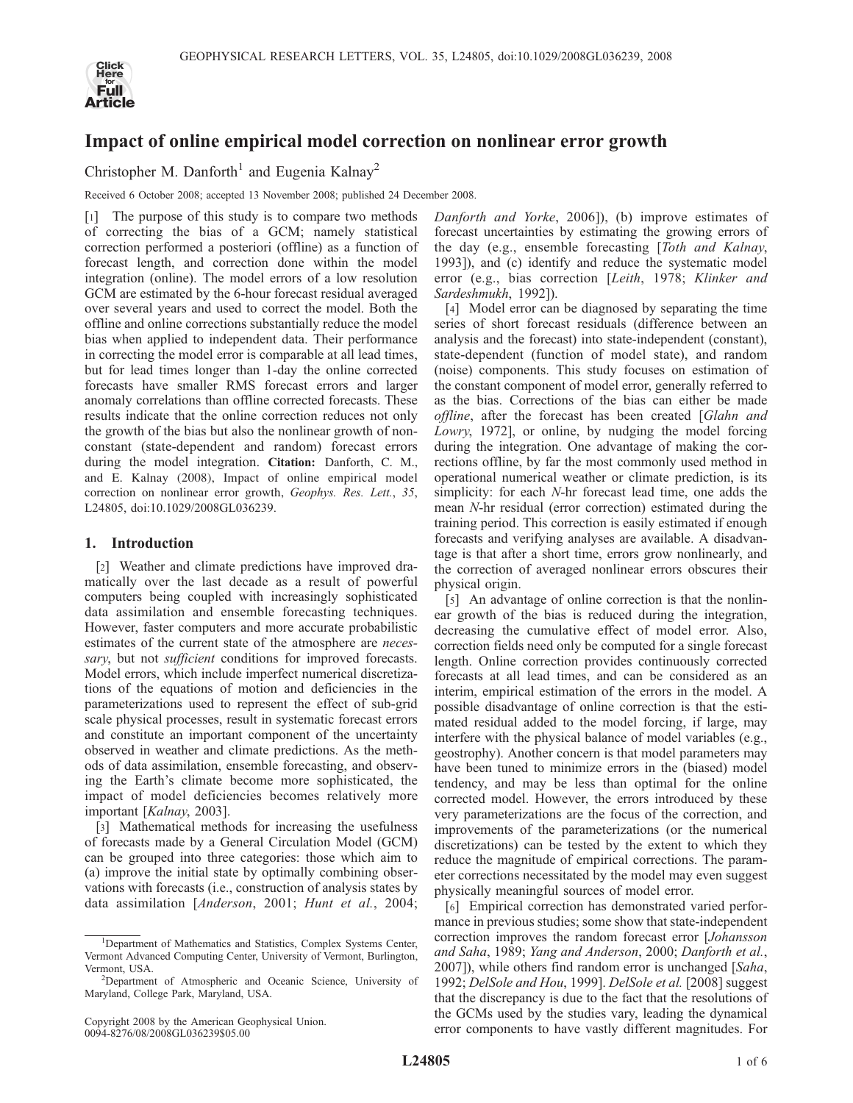

## Impact of online empirical model correction on nonlinear error growth

Christopher M. Danforth<sup>1</sup> and Eugenia Kalnay<sup>2</sup>

Received 6 October 2008; accepted 13 November 2008; published 24 December 2008.

[1] The purpose of this study is to compare two methods of correcting the bias of a GCM; namely statistical correction performed a posteriori (offline) as a function of forecast length, and correction done within the model integration (online). The model errors of a low resolution GCM are estimated by the 6-hour forecast residual averaged over several years and used to correct the model. Both the offline and online corrections substantially reduce the model bias when applied to independent data. Their performance in correcting the model error is comparable at all lead times, but for lead times longer than 1-day the online corrected forecasts have smaller RMS forecast errors and larger anomaly correlations than offline corrected forecasts. These results indicate that the online correction reduces not only the growth of the bias but also the nonlinear growth of nonconstant (state-dependent and random) forecast errors during the model integration. Citation: Danforth, C. M., and E. Kalnay (2008), Impact of online empirical model correction on nonlinear error growth, Geophys. Res. Lett., 35, L24805, doi:10.1029/2008GL036239.

### 1. Introduction

[2] Weather and climate predictions have improved dramatically over the last decade as a result of powerful computers being coupled with increasingly sophisticated data assimilation and ensemble forecasting techniques. However, faster computers and more accurate probabilistic estimates of the current state of the atmosphere are necessary, but not sufficient conditions for improved forecasts. Model errors, which include imperfect numerical discretizations of the equations of motion and deficiencies in the parameterizations used to represent the effect of sub-grid scale physical processes, result in systematic forecast errors and constitute an important component of the uncertainty observed in weather and climate predictions. As the methods of data assimilation, ensemble forecasting, and observing the Earth's climate become more sophisticated, the impact of model deficiencies becomes relatively more important [Kalnay, 2003].

[3] Mathematical methods for increasing the usefulness of forecasts made by a General Circulation Model (GCM) can be grouped into three categories: those which aim to (a) improve the initial state by optimally combining observations with forecasts (i.e., construction of analysis states by data assimilation [Anderson, 2001; Hunt et al., 2004;

Danforth and Yorke, 2006]), (b) improve estimates of forecast uncertainties by estimating the growing errors of the day (e.g., ensemble forecasting [Toth and Kalnay, 1993]), and (c) identify and reduce the systematic model error (e.g., bias correction [Leith, 1978; Klinker and Sardeshmukh, 1992]).

[4] Model error can be diagnosed by separating the time series of short forecast residuals (difference between an analysis and the forecast) into state-independent (constant), state-dependent (function of model state), and random (noise) components. This study focuses on estimation of the constant component of model error, generally referred to as the bias. Corrections of the bias can either be made offline, after the forecast has been created [Glahn and Lowry, 1972], or online, by nudging the model forcing during the integration. One advantage of making the corrections offline, by far the most commonly used method in operational numerical weather or climate prediction, is its simplicity: for each N-hr forecast lead time, one adds the mean N-hr residual (error correction) estimated during the training period. This correction is easily estimated if enough forecasts and verifying analyses are available. A disadvantage is that after a short time, errors grow nonlinearly, and the correction of averaged nonlinear errors obscures their physical origin.

[5] An advantage of online correction is that the nonlinear growth of the bias is reduced during the integration, decreasing the cumulative effect of model error. Also, correction fields need only be computed for a single forecast length. Online correction provides continuously corrected forecasts at all lead times, and can be considered as an interim, empirical estimation of the errors in the model. A possible disadvantage of online correction is that the estimated residual added to the model forcing, if large, may interfere with the physical balance of model variables (e.g., geostrophy). Another concern is that model parameters may have been tuned to minimize errors in the (biased) model tendency, and may be less than optimal for the online corrected model. However, the errors introduced by these very parameterizations are the focus of the correction, and improvements of the parameterizations (or the numerical discretizations) can be tested by the extent to which they reduce the magnitude of empirical corrections. The parameter corrections necessitated by the model may even suggest physically meaningful sources of model error.

[6] Empirical correction has demonstrated varied performance in previous studies; some show that state-independent correction improves the random forecast error [Johansson and Saha, 1989; Yang and Anderson, 2000; Danforth et al., 2007]), while others find random error is unchanged [Saha, 1992; DelSole and Hou, 1999]. DelSole et al. [2008] suggest that the discrepancy is due to the fact that the resolutions of the GCMs used by the studies vary, leading the dynamical error components to have vastly different magnitudes. For

<sup>&</sup>lt;sup>1</sup>Department of Mathematics and Statistics, Complex Systems Center, Vermont Advanced Computing Center, University of Vermont, Burlington, Vermont, USA.

<sup>&</sup>lt;sup>2</sup>Department of Atmospheric and Oceanic Science, University of Maryland, College Park, Maryland, USA.

Copyright 2008 by the American Geophysical Union. 0094-8276/08/2008GL036239\$05.00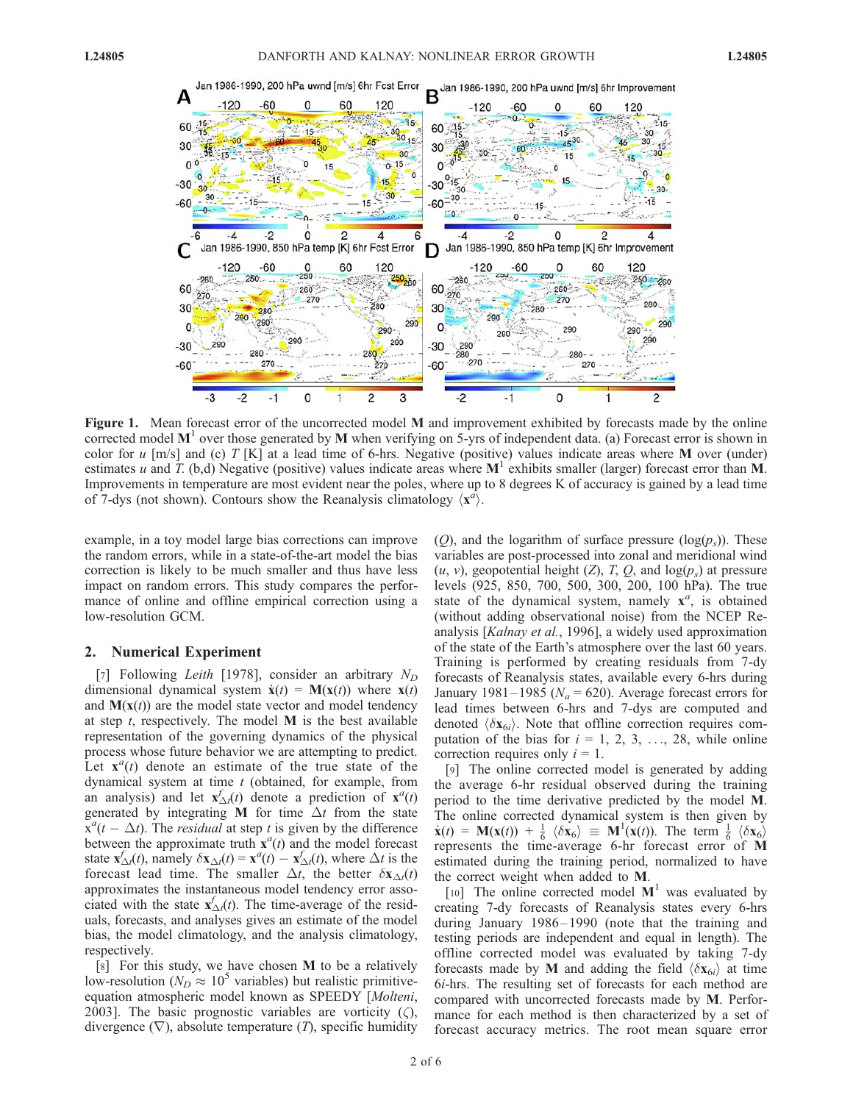

Figure 1. Mean forecast error of the uncorrected model M and improvement exhibited by forecasts made by the online corrected model  $M<sup>1</sup>$  over those generated by M when verifying on 5-yrs of independent data. (a) Forecast error is shown in color for u  $[m/s]$  and (c) T [K] at a lead time of 6-hrs. Negative (positive) values indicate areas where M over (under) estimates u and T. (b,d) Negative (positive) values indicate areas where  $M<sup>1</sup>$  exhibits smaller (larger) forecast error than M. Improvements in temperature are most evident near the poles, where up to 8 degrees K of accuracy is gained by a lead time of 7-dys (not shown). Contours show the Reanalysis climatology  $\langle x^a \rangle$ .

example, in a toy model large bias corrections can improve the random errors, while in a state-of-the-art model the bias correction is likely to be much smaller and thus have less impact on random errors. This study compares the performance of online and offline empirical correction using a low-resolution GCM.

### 2. Numerical Experiment

[7] Following Leith [1978], consider an arbitrary  $N_D$ dimensional dynamical system  $\dot{\mathbf{x}}(t) = \mathbf{M}(\mathbf{x}(t))$  where  $\mathbf{x}(t)$ and  $\mathbf{M}(\mathbf{x}(t))$  are the model state vector and model tendency at step  $t$ , respectively. The model  $M$  is the best available representation of the governing dynamics of the physical process whose future behavior we are attempting to predict. Let  $\mathbf{x}^{a}(t)$  denote an estimate of the true state of the dynamical system at time  $t$  (obtained, for example, from an analysis) and let  $\mathbf{x}_{\Delta t}^f(t)$  denote a prediction of  $\mathbf{x}^a(t)$ generated by integrating M for time  $\Delta t$  from the state  $\ddot{x}^{a}(t - \Delta t)$ . The *residual* at step t is given by the difference between the approximate truth  $\mathbf{x}^{a}(t)$  and the model forecast state  $\mathbf{x}_{\Delta t}^f(t)$ , namely  $\delta \mathbf{x}_{\Delta t}^f(t) = \mathbf{x}^a(t) - \mathbf{x}_{\Delta t}^f(t)$ , where  $\Delta t$  is the forecast lead time. The smaller  $\Delta t$ , the better  $\delta x_{\Delta t}(t)$ approximates the instantaneous model tendency error associated with the state  $\mathbf{x}_{\Delta t}^f(t)$ . The time-average of the residuals, forecasts, and analyses gives an estimate of the model bias, the model climatology, and the analysis climatology, respectively.

[8] For this study, we have chosen M to be a relatively low-resolution ( $N_D \approx 10^5$  variables) but realistic primitiveequation atmospheric model known as SPEEDY [Molteni, 2003]. The basic prognostic variables are vorticity  $(\zeta)$ , divergence  $(\nabla)$ , absolute temperature  $(T)$ , specific humidity (O), and the logarithm of surface pressure  $(log(p_s))$ . These variables are post-processed into zonal and meridional wind  $(u, v)$ , geopotential height  $(Z)$ , T, Q, and  $log(p_s)$  at pressure levels (925, 850, 700, 500, 300, 200, 100 hPa). The true state of the dynamical system, namely  $x^a$ , is obtained (without adding observational noise) from the NCEP Reanalysis [Kalnay et al., 1996], a widely used approximation of the state of the Earth's atmosphere over the last 60 years. Training is performed by creating residuals from 7-dy forecasts of Reanalysis states, available every 6-hrs during January 1981–1985 ( $N_a = 620$ ). Average forecast errors for lead times between 6-hrs and 7-dys are computed and denoted  $\langle \delta {\bf x}_{6i} \rangle$ . Note that offline correction requires computation of the bias for  $i = 1, 2, 3, \ldots, 28$ , while online correction requires only  $i = 1$ .

[9] The online corrected model is generated by adding the average 6-hr residual observed during the training period to the time derivative predicted by the model M. The online corrected dynamical system is then given by  $\dot{\mathbf{x}}(t) = \mathbf{M}(\mathbf{x}(t)) + \frac{1}{6} \langle \delta \mathbf{x}_6 \rangle \equiv \mathbf{M}^1(\mathbf{x}(t)).$  The term  $\frac{1}{6} \langle \delta \mathbf{x}_6 \rangle$ represents the time-average 6-hr forecast error of M estimated during the training period, normalized to have the correct weight when added to M.

[10] The online corrected model  $M<sup>1</sup>$  was evaluated by creating 7-dy forecasts of Reanalysis states every 6-hrs during January 1986–1990 (note that the training and testing periods are independent and equal in length). The offline corrected model was evaluated by taking 7-dy forecasts made by M and adding the field  $\langle \delta x_{6i} \rangle$  at time 6i-hrs. The resulting set of forecasts for each method are compared with uncorrected forecasts made by M. Performance for each method is then characterized by a set of forecast accuracy metrics. The root mean square error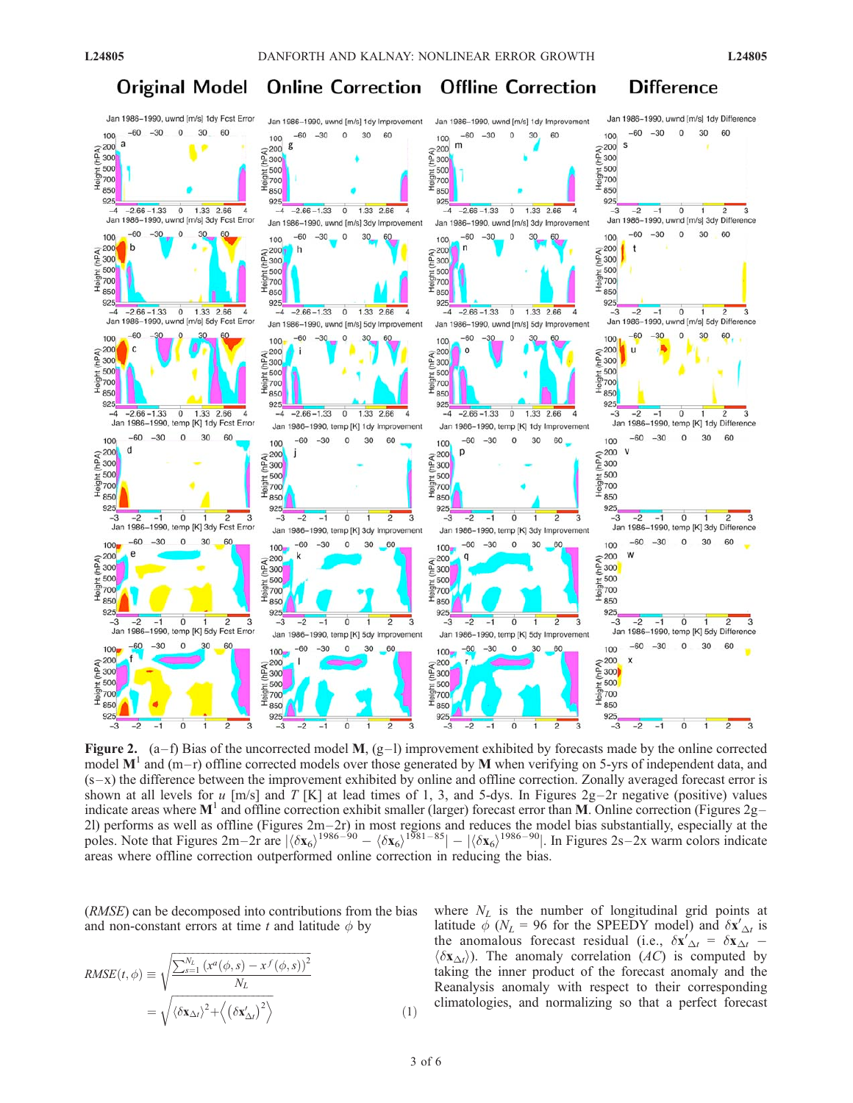#### **Original Model Online Correction Offline Correction Difference**



Figure 2.  $(a-f)$  Bias of the uncorrected model M,  $(g-1)$  improvement exhibited by forecasts made by the online corrected model  $M<sup>1</sup>$  and (m-r) offline corrected models over those generated by M when verifying on 5-yrs of independent data, and  $(s-x)$  the difference between the improvement exhibited by online and offline correction. Zonally averaged forecast error is shown at all levels for u [m/s] and T [K] at lead times of 1, 3, and 5-dys. In Figures  $2g-2r$  negative (positive) values indicate areas where  $M<sup>1</sup>$  and offline correction exhibit smaller (larger) forecast error than M. Online correction (Figures 2g– 2l) performs as well as offline (Figures  $2m-2r$ ) in most regions and reduces the model bias substantially, especially at the poles. Note that Figures  $2m-2r$  are  $|\langle \delta x_6 \rangle^{1986-90} - \langle \delta x_6 \rangle^{1981-85}| - |\langle \delta x_6 \rangle^{1986-90}|$ . In Figures  $2s-2x$  warm colors indicate areas where offline correction outperformed online correction in reducing the bias.

(RMSE) can be decomposed into contributions from the bias and non-constant errors at time t and latitude  $\phi$  by

$$
RMSE(t, \phi) \equiv \sqrt{\frac{\sum_{s=1}^{N_L} (x^a(\phi, s) - x^f(\phi, s))^2}{N_L}}
$$

$$
= \sqrt{\langle \delta \mathbf{x}_{\Delta t} \rangle^2 + \langle (\delta \mathbf{x}'_{\Delta t})^2 \rangle}
$$
(1)

where  $N_L$  is the number of longitudinal grid points at latitude  $\phi$  ( $N_L$  = 96 for the SPEEDY model) and  $\delta \mathbf{x}'_{\Delta t}$  is the anomalous forecast residual (i.e.,  $\delta \mathbf{x}'_{\Delta t} = \delta \mathbf{x}_{\Delta t}$ .  $\langle \delta \mathbf{x}_{\Delta t} \rangle$ ). The anomaly correlation (AC) is computed by taking the inner product of the forecast anomaly and the Reanalysis anomaly with respect to their corresponding climatologies, and normalizing so that a perfect forecast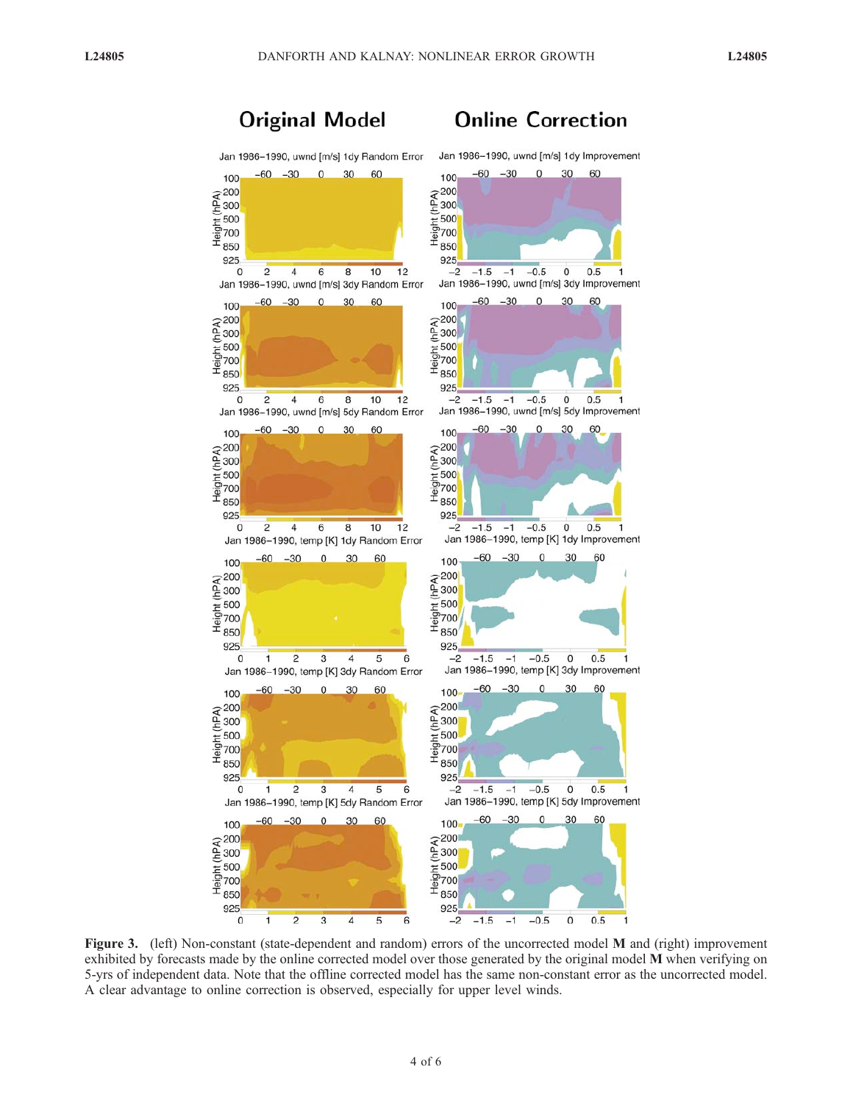# **Original Model**





Figure 3. (left) Non-constant (state-dependent and random) errors of the uncorrected model M and (right) improvement exhibited by forecasts made by the online corrected model over those generated by the original model M when verifying on 5-yrs of independent data. Note that the offline corrected model has the same non-constant error as the uncorrected model. A clear advantage to online correction is observed, especially for upper level winds.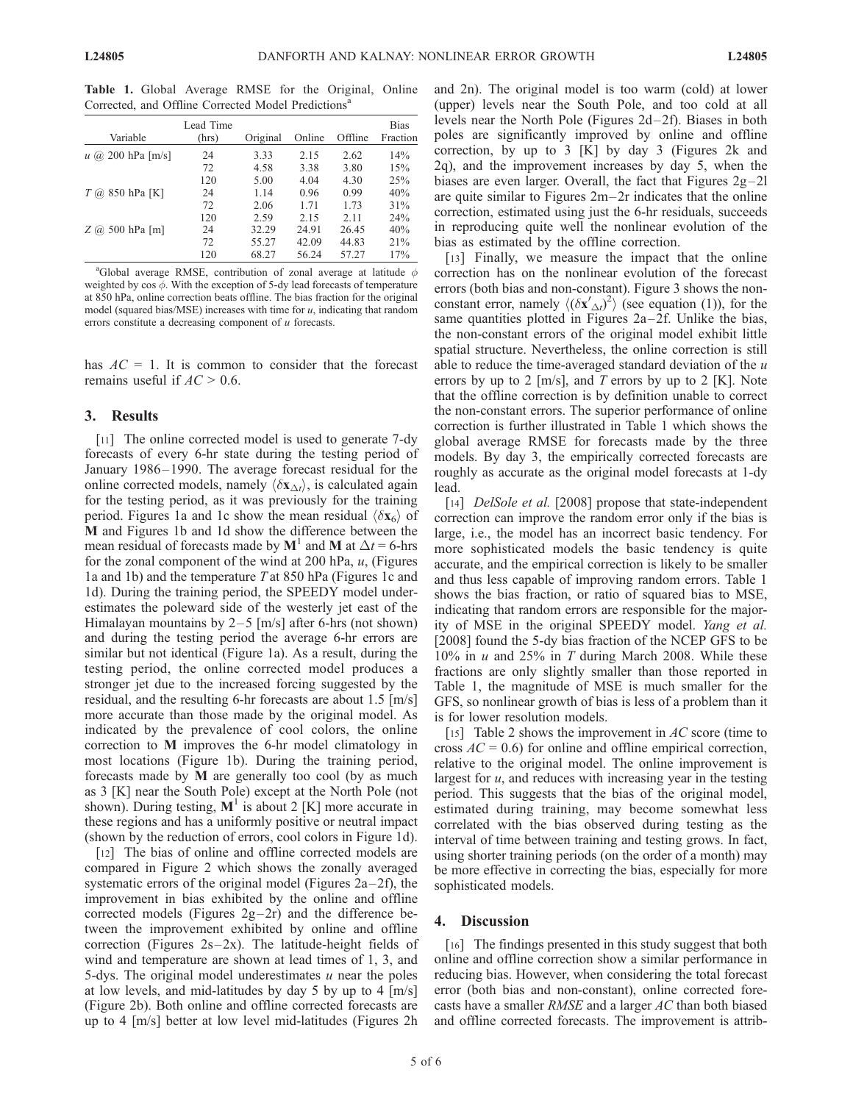Table 1. Global Average RMSE for the Original, Online Corrected, and Offline Corrected Model Predictions<sup>a</sup>

| Variable              | Lead Time<br>(hrs) | Original | Online | Offline | <b>Bias</b><br>Fraction |
|-----------------------|--------------------|----------|--------|---------|-------------------------|
| $u$ (a) 200 hPa [m/s] | 24                 | 3.33     | 2.15   | 2.62    | 14%                     |
|                       | 72                 | 4.58     | 3.38   | 3.80    | 15%                     |
|                       | 120                | 5.00     | 4.04   | 4.30    | 25%                     |
| $T$ (a) 850 hPa [K]   | 24                 | 1.14     | 0.96   | 0.99    | 40%                     |
|                       | 72                 | 2.06     | 1.71   | 1.73    | 31%                     |
|                       | 120                | 2.59     | 2.15   | 2.11    | 24%                     |
| $Z$ (a) 500 hPa [m]   | 24                 | 32.29    | 24.91  | 26.45   | 40%                     |
|                       | 72                 | 55.27    | 42.09  | 44.83   | 21%                     |
|                       | 120                | 68.27    | 56.24  | 57.27   | 17%                     |

<sup>a</sup>Global average RMSE, contribution of zonal average at latitude  $\phi$ weighted by  $\cos \phi$ . With the exception of 5-dy lead forecasts of temperature at 850 hPa, online correction beats offline. The bias fraction for the original model (squared bias/MSE) increases with time for  $u$ , indicating that random errors constitute a decreasing component of u forecasts.

has  $AC = 1$ . It is common to consider that the forecast remains useful if  $AC > 0.6$ .

### 3. Results

[11] The online corrected model is used to generate 7-dy forecasts of every 6-hr state during the testing period of January 1986–1990. The average forecast residual for the online corrected models, namely  $\langle \delta x_{\Delta t} \rangle$ , is calculated again for the testing period, as it was previously for the training period. Figures 1a and 1c show the mean residual  $\langle \delta x_6 \rangle$  of M and Figures 1b and 1d show the difference between the mean residual of forecasts made by  $M<sup>1</sup>$  and M at  $\Delta t = 6$ -hrs for the zonal component of the wind at 200 hPa,  $u$ , (Figures 1a and 1b) and the temperature T at 850 hPa (Figures 1c and 1d). During the training period, the SPEEDY model underestimates the poleward side of the westerly jet east of the Himalayan mountains by  $2-5$  [m/s] after 6-hrs (not shown) and during the testing period the average 6-hr errors are similar but not identical (Figure 1a). As a result, during the testing period, the online corrected model produces a stronger jet due to the increased forcing suggested by the residual, and the resulting 6-hr forecasts are about 1.5 [m/s] more accurate than those made by the original model. As indicated by the prevalence of cool colors, the online correction to M improves the 6-hr model climatology in most locations (Figure 1b). During the training period, forecasts made by M are generally too cool (by as much as 3 [K] near the South Pole) except at the North Pole (not shown). During testing,  $M^1$  is about 2 [K] more accurate in these regions and has a uniformly positive or neutral impact (shown by the reduction of errors, cool colors in Figure 1d).

[12] The bias of online and offline corrected models are compared in Figure 2 which shows the zonally averaged systematic errors of the original model (Figures  $2a-2f$ ), the improvement in bias exhibited by the online and offline corrected models (Figures  $2g-2r$ ) and the difference between the improvement exhibited by online and offline correction (Figures  $2s-2x$ ). The latitude-height fields of wind and temperature are shown at lead times of 1, 3, and 5-dys. The original model underestimates  $u$  near the poles at low levels, and mid-latitudes by day 5 by up to 4 [m/s] (Figure 2b). Both online and offline corrected forecasts are up to 4 [m/s] better at low level mid-latitudes (Figures 2h and 2n). The original model is too warm (cold) at lower (upper) levels near the South Pole, and too cold at all levels near the North Pole (Figures 2d-2f). Biases in both poles are significantly improved by online and offline correction, by up to 3 [K] by day 3 (Figures 2k and 2q), and the improvement increases by day 5, when the biases are even larger. Overall, the fact that Figures  $2g-2l$ are quite similar to Figures  $2m-2r$  indicates that the online correction, estimated using just the 6-hr residuals, succeeds in reproducing quite well the nonlinear evolution of the bias as estimated by the offline correction.

[13] Finally, we measure the impact that the online correction has on the nonlinear evolution of the forecast errors (both bias and non-constant). Figure 3 shows the nonconstant error, namely  $\langle (\delta {\bf x}'_{\Delta t})^2 \rangle$  (see equation (1)), for the same quantities plotted in Figures  $2a-2f$ . Unlike the bias, the non-constant errors of the original model exhibit little spatial structure. Nevertheless, the online correction is still able to reduce the time-averaged standard deviation of the  $u$ errors by up to 2 [m/s], and  $T$  errors by up to 2 [K]. Note that the offline correction is by definition unable to correct the non-constant errors. The superior performance of online correction is further illustrated in Table 1 which shows the global average RMSE for forecasts made by the three models. By day 3, the empirically corrected forecasts are roughly as accurate as the original model forecasts at 1-dy lead.

[14] *DelSole et al.* [2008] propose that state-independent correction can improve the random error only if the bias is large, i.e., the model has an incorrect basic tendency. For more sophisticated models the basic tendency is quite accurate, and the empirical correction is likely to be smaller and thus less capable of improving random errors. Table 1 shows the bias fraction, or ratio of squared bias to MSE, indicating that random errors are responsible for the majority of MSE in the original SPEEDY model. Yang et al. [2008] found the 5-dy bias fraction of the NCEP GFS to be  $10\%$  in *u* and  $25\%$  in *T* during March 2008. While these fractions are only slightly smaller than those reported in Table 1, the magnitude of MSE is much smaller for the GFS, so nonlinear growth of bias is less of a problem than it is for lower resolution models.

[15] Table 2 shows the improvement in  $AC$  score (time to cross  $AC = 0.6$ ) for online and offline empirical correction, relative to the original model. The online improvement is largest for  $u$ , and reduces with increasing year in the testing period. This suggests that the bias of the original model, estimated during training, may become somewhat less correlated with the bias observed during testing as the interval of time between training and testing grows. In fact, using shorter training periods (on the order of a month) may be more effective in correcting the bias, especially for more sophisticated models.

### 4. Discussion

[16] The findings presented in this study suggest that both online and offline correction show a similar performance in reducing bias. However, when considering the total forecast error (both bias and non-constant), online corrected forecasts have a smaller RMSE and a larger AC than both biased and offline corrected forecasts. The improvement is attrib